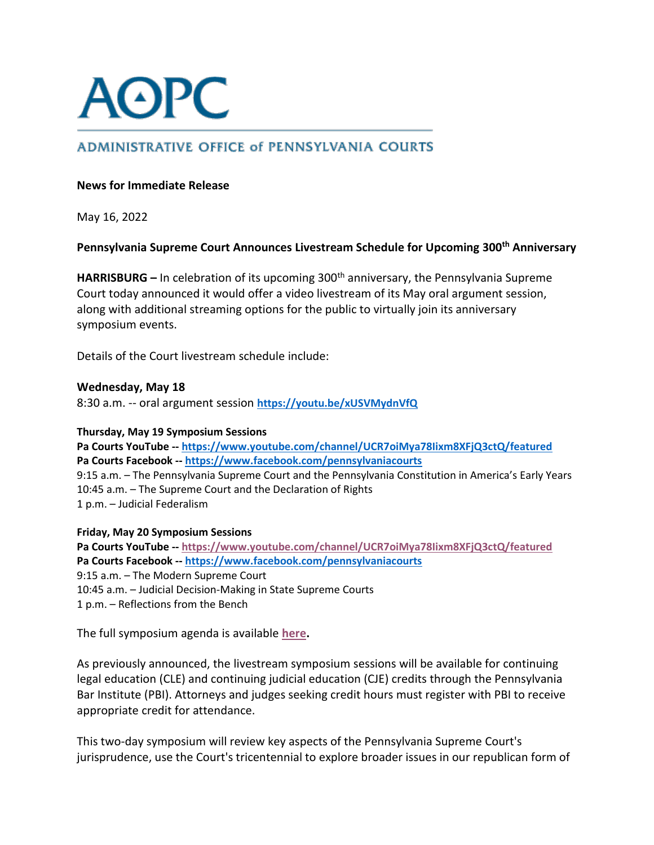

# **ADMINISTRATIVE OFFICE of PENNSYLVANIA COURTS**

## **News for Immediate Release**

May 16, 2022

**Pennsylvania Supreme Court Announces Livestream Schedule for Upcoming 300th Anniversary** 

**HARRISBURG** – In celebration of its upcoming 300<sup>th</sup> anniversary, the Pennsylvania Supreme Court today announced it would offer a video livestream of its May oral argument session, along with additional streaming options for the public to virtually join its anniversary symposium events.

Details of the Court livestream schedule include:

## **Wednesday, May 18**

8:30 a.m. -- oral argument session **<https://youtu.be/xUSVMydnVfQ>**

### **Thursday, May 19 Symposium Sessions**

**Pa Courts YouTube -- <https://www.youtube.com/channel/UCR7oiMya78Iixm8XFjQ3ctQ/featured> Pa Courts Facebook -- <https://www.facebook.com/pennsylvaniacourts>** 9:15 a.m. – The Pennsylvania Supreme Court and the Pennsylvania Constitution in America's Early Years 10:45 a.m. – The Supreme Court and the Declaration of Rights 1 p.m. – Judicial Federalism

### **Friday, May 20 Symposium Sessions**

**Pa Courts YouTube -- <https://www.youtube.com/channel/UCR7oiMya78Iixm8XFjQ3ctQ/featured> Pa Courts Facebook -- <https://www.facebook.com/pennsylvaniacourts>** 9:15 a.m. – The Modern Supreme Court 10:45 a.m. – Judicial Decision-Making in State Supreme Courts 1 p.m. – Reflections from the Bench

The full symposium agenda is available **[here.](https://www.pacourts.us/Storage/media/pdfs/20220505/164609-supreme300agenda.pdf)**

As previously announced, the livestream symposium sessions will be available for continuing legal education (CLE) and continuing judicial education (CJE) credits through the Pennsylvania Bar Institute (PBI). Attorneys and judges seeking credit hours must register with PBI to receive appropriate credit for attendance.

This two-day symposium will review key aspects of the Pennsylvania Supreme Court's jurisprudence, use the Court's tricentennial to explore broader issues in our republican form of